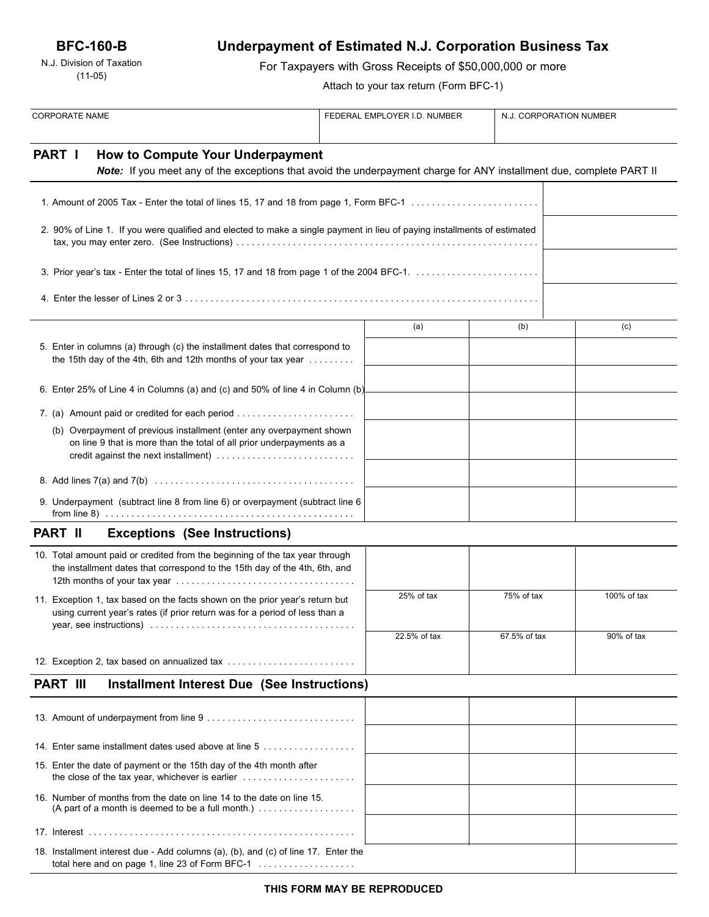N.J. Division of Taxation (11-05)

# **Underpayment of Estimated N.J. Corporation Business Tax**

For Taxpayers with Gross Receipts of \$50,000,000 or more

Attach to your tax return (Form BFC-1)

| <b>CORPORATE NAME</b>                                                                                                                                       |                                                                                                                                                                     | FEDERAL EMPLOYER I.D. NUMBER |              |              | N.J. CORPORATION NUMBER |  |
|-------------------------------------------------------------------------------------------------------------------------------------------------------------|---------------------------------------------------------------------------------------------------------------------------------------------------------------------|------------------------------|--------------|--------------|-------------------------|--|
| <b>PART I</b>                                                                                                                                               | How to Compute Your Underpayment<br>Note: If you meet any of the exceptions that avoid the underpayment charge for ANY installment due, complete PART II            |                              |              |              |                         |  |
|                                                                                                                                                             |                                                                                                                                                                     |                              |              |              |                         |  |
|                                                                                                                                                             | 2. 90% of Line 1. If you were qualified and elected to make a single payment in lieu of paying installments of estimated                                            |                              |              |              |                         |  |
|                                                                                                                                                             |                                                                                                                                                                     |                              |              |              |                         |  |
|                                                                                                                                                             |                                                                                                                                                                     |                              |              |              |                         |  |
|                                                                                                                                                             |                                                                                                                                                                     |                              | (a)          | (b)          | (c)                     |  |
|                                                                                                                                                             | 5. Enter in columns (a) through (c) the installment dates that correspond to<br>the 15th day of the 4th, 6th and 12th months of your tax year $\dots\dots\dots$     |                              |              |              |                         |  |
|                                                                                                                                                             | 6. Enter 25% of Line 4 in Columns (a) and (c) and 50% of line 4 in Column (b)                                                                                       |                              |              |              |                         |  |
|                                                                                                                                                             |                                                                                                                                                                     |                              |              |              |                         |  |
|                                                                                                                                                             | (b) Overpayment of previous installment (enter any overpayment shown<br>on line 9 that is more than the total of all prior underpayments as a                       |                              |              |              |                         |  |
|                                                                                                                                                             |                                                                                                                                                                     |                              |              |              |                         |  |
|                                                                                                                                                             | 9. Underpayment (subtract line 8 from line 6) or overpayment (subtract line 6                                                                                       |                              |              |              |                         |  |
| <b>PART II</b>                                                                                                                                              | <b>Exceptions (See Instructions)</b>                                                                                                                                |                              |              |              |                         |  |
|                                                                                                                                                             | 10. Total amount paid or credited from the beginning of the tax year through<br>the installment dates that correspond to the 15th day of the 4th, 6th, and          |                              |              |              |                         |  |
| 11. Exception 1, tax based on the facts shown on the prior year's return but<br>using current year's rates (if prior return was for a period of less than a |                                                                                                                                                                     |                              | 25% of tax   | 75% of tax   | 100% of tax             |  |
|                                                                                                                                                             |                                                                                                                                                                     |                              | 22.5% of tax | 67.5% of tax | 90% of tax              |  |
|                                                                                                                                                             | 12. Exception 2, tax based on annualized tax                                                                                                                        |                              |              |              |                         |  |
| <b>PART III</b>                                                                                                                                             | <b>Installment Interest Due (See Instructions)</b>                                                                                                                  |                              |              |              |                         |  |
|                                                                                                                                                             |                                                                                                                                                                     |                              |              |              |                         |  |
|                                                                                                                                                             | 14. Enter same installment dates used above at line 5                                                                                                               |                              |              |              |                         |  |
|                                                                                                                                                             | 15. Enter the date of payment or the 15th day of the 4th month after<br>the close of the tax year, whichever is earlier $\ldots \ldots \ldots \ldots \ldots \ldots$ |                              |              |              |                         |  |
|                                                                                                                                                             | 16. Number of months from the date on line 14 to the date on line 15.<br>(A part of a month is deemed to be a full month.) $\ldots$                                 |                              |              |              |                         |  |
|                                                                                                                                                             |                                                                                                                                                                     |                              |              |              |                         |  |
|                                                                                                                                                             | 18. Installment interest due - Add columns (a), (b), and (c) of line 17. Enter the<br>total here and on page 1, line 23 of Form BFC-1                               |                              |              |              |                         |  |